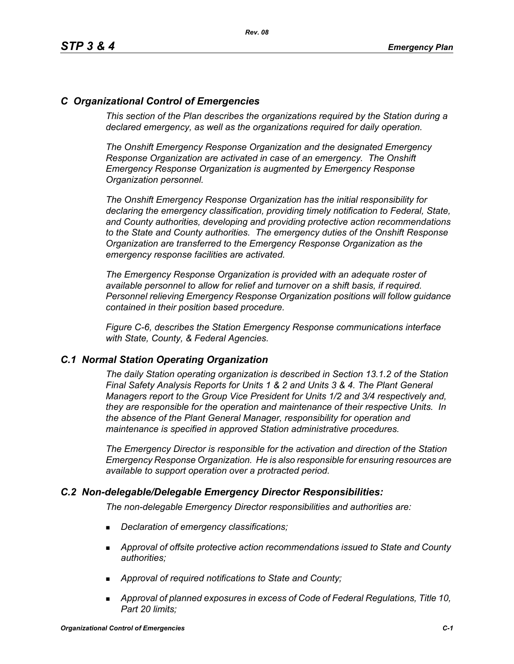# *C Organizational Control of Emergencies*

*This section of the Plan describes the organizations required by the Station during a declared emergency, as well as the organizations required for daily operation.*

*The Onshift Emergency Response Organization and the designated Emergency Response Organization are activated in case of an emergency. The Onshift Emergency Response Organization is augmented by Emergency Response Organization personnel.* 

*The Onshift Emergency Response Organization has the initial responsibility for declaring the emergency classification, providing timely notification to Federal, State, and County authorities, developing and providing protective action recommendations to the State and County authorities. The emergency duties of the Onshift Response Organization are transferred to the Emergency Response Organization as the emergency response facilities are activated.* 

*The Emergency Response Organization is provided with an adequate roster of available personnel to allow for relief and turnover on a shift basis, if required. Personnel relieving Emergency Response Organization positions will follow guidance contained in their position based procedure.*

*Figure C-6, describes the Station Emergency Response communications interface with State, County, & Federal Agencies.*

#### *C.1 Normal Station Operating Organization*

*The daily Station operating organization is described in Section 13.1.2 of the Station Final Safety Analysis Reports for Units 1 & 2 and Units 3 & 4. The Plant General Managers report to the Group Vice President for Units 1/2 and 3/4 respectively and, they are responsible for the operation and maintenance of their respective Units. In the absence of the Plant General Manager, responsibility for operation and maintenance is specified in approved Station administrative procedures.*

*The Emergency Director is responsible for the activation and direction of the Station Emergency Response Organization. He is also responsible for ensuring resources are available to support operation over a protracted period.*

#### *C.2 Non-delegable/Delegable Emergency Director Responsibilities:*

*The non-delegable Emergency Director responsibilities and authorities are:*

- *Declaration of emergency classifications;*
- *Approval of offsite protective action recommendations issued to State and County authorities;*
- *Approval of required notifications to State and County;*
- *Approval of planned exposures in excess of Code of Federal Regulations, Title 10, Part 20 limits;*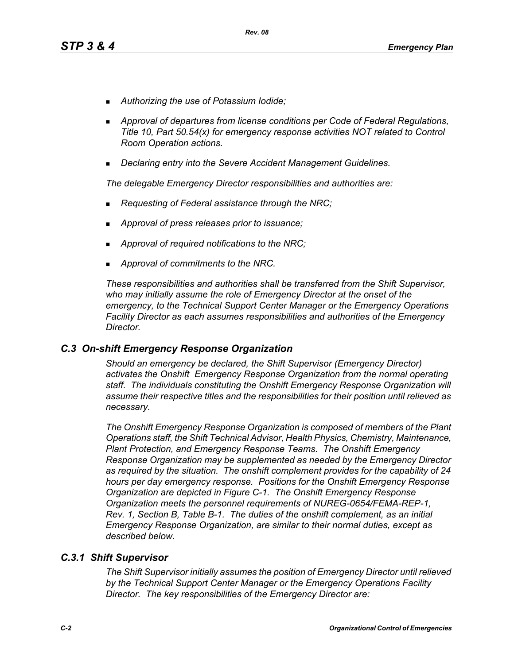- *Authorizing the use of Potassium Iodide;*
- *Approval of departures from license conditions per Code of Federal Regulations, Title 10, Part 50.54(x) for emergency response activities NOT related to Control Room Operation actions.*
- *Declaring entry into the Severe Accident Management Guidelines.*

*The delegable Emergency Director responsibilities and authorities are:*

- *Requesting of Federal assistance through the NRC;*
- *Approval of press releases prior to issuance;*
- *Approval of required notifications to the NRC;*
- *Approval of commitments to the NRC.*

*These responsibilities and authorities shall be transferred from the Shift Supervisor, who may initially assume the role of Emergency Director at the onset of the emergency, to the Technical Support Center Manager or the Emergency Operations Facility Director as each assumes responsibilities and authorities of the Emergency Director.*

#### *C.3 On-shift Emergency Response Organization*

*Should an emergency be declared, the Shift Supervisor (Emergency Director) activates the Onshift Emergency Response Organization from the normal operating staff. The individuals constituting the Onshift Emergency Response Organization will assume their respective titles and the responsibilities for their position until relieved as necessary.*

*The Onshift Emergency Response Organization is composed of members of the Plant Operations staff, the Shift Technical Advisor, Health Physics, Chemistry, Maintenance, Plant Protection, and Emergency Response Teams. The Onshift Emergency Response Organization may be supplemented as needed by the Emergency Director as required by the situation. The onshift complement provides for the capability of 24 hours per day emergency response. Positions for the Onshift Emergency Response Organization are depicted in Figure C-1. The Onshift Emergency Response Organization meets the personnel requirements of NUREG-0654/FEMA-REP-1, Rev. 1, Section B, Table B-1. The duties of the onshift complement, as an initial Emergency Response Organization, are similar to their normal duties, except as described below.*

#### *C.3.1 Shift Supervisor*

*The Shift Supervisor initially assumes the position of Emergency Director until relieved by the Technical Support Center Manager or the Emergency Operations Facility Director. The key responsibilities of the Emergency Director are:*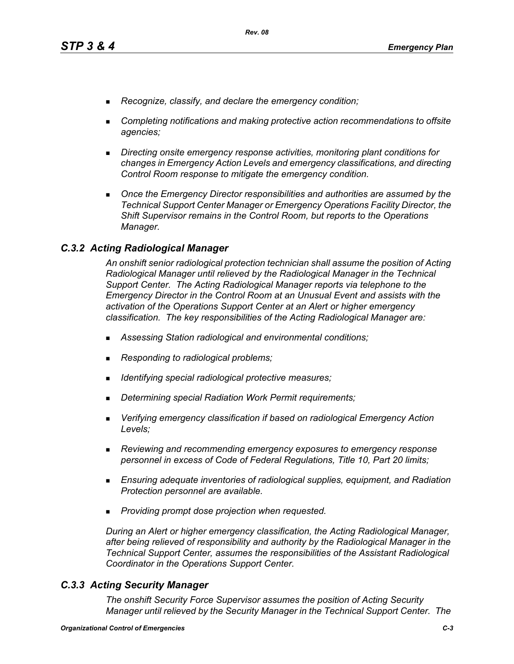- *Recognize, classify, and declare the emergency condition;*
- *Completing notifications and making protective action recommendations to offsite agencies;*
- *Directing onsite emergency response activities, monitoring plant conditions for changes in Emergency Action Levels and emergency classifications, and directing Control Room response to mitigate the emergency condition.*
- **Diangleh Emergency Director responsibilities and authorities are assumed by the** *Technical Support Center Manager or Emergency Operations Facility Director, the Shift Supervisor remains in the Control Room, but reports to the Operations Manager.*

## *C.3.2 Acting Radiological Manager*

*An onshift senior radiological protection technician shall assume the position of Acting Radiological Manager until relieved by the Radiological Manager in the Technical Support Center. The Acting Radiological Manager reports via telephone to the Emergency Director in the Control Room at an Unusual Event and assists with the activation of the Operations Support Center at an Alert or higher emergency classification. The key responsibilities of the Acting Radiological Manager are:*

- *Assessing Station radiological and environmental conditions;*
- *Responding to radiological problems;*
- *Identifying special radiological protective measures;*
- *Determining special Radiation Work Permit requirements;*
- *Verifying emergency classification if based on radiological Emergency Action Levels;*
- *Reviewing and recommending emergency exposures to emergency response personnel in excess of Code of Federal Regulations, Title 10, Part 20 limits;*
- *Ensuring adequate inventories of radiological supplies, equipment, and Radiation Protection personnel are available.*
- *Providing prompt dose projection when requested.*

*During an Alert or higher emergency classification, the Acting Radiological Manager, after being relieved of responsibility and authority by the Radiological Manager in the Technical Support Center, assumes the responsibilities of the Assistant Radiological Coordinator in the Operations Support Center.*

## *C.3.3 Acting Security Manager*

*The onshift Security Force Supervisor assumes the position of Acting Security Manager until relieved by the Security Manager in the Technical Support Center. The*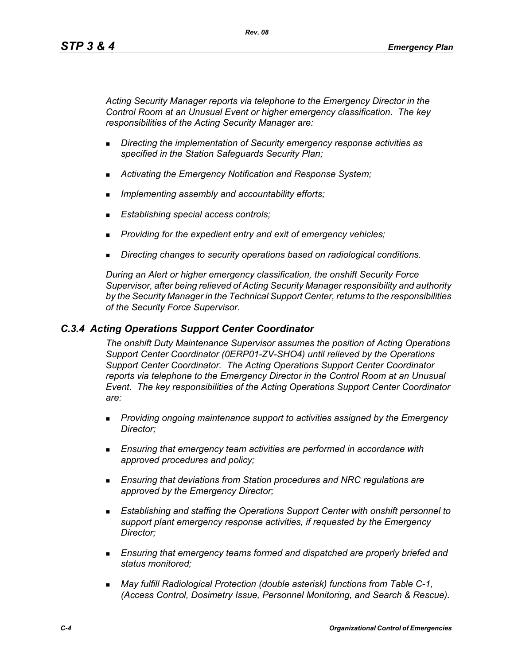*Acting Security Manager reports via telephone to the Emergency Director in the Control Room at an Unusual Event or higher emergency classification. The key responsibilities of the Acting Security Manager are:*

- *Directing the implementation of Security emergency response activities as specified in the Station Safeguards Security Plan;*
- *Activating the Emergency Notification and Response System;*
- *Implementing assembly and accountability efforts;*
- *Establishing special access controls;*
- *Providing for the expedient entry and exit of emergency vehicles;*
- *Directing changes to security operations based on radiological conditions.*

*During an Alert or higher emergency classification, the onshift Security Force Supervisor, after being relieved of Acting Security Manager responsibility and authority by the Security Manager in the Technical Support Center, returns to the responsibilities of the Security Force Supervisor.*

## *C.3.4 Acting Operations Support Center Coordinator*

*The onshift Duty Maintenance Supervisor assumes the position of Acting Operations Support Center Coordinator (0ERP01-ZV-SHO4) until relieved by the Operations Support Center Coordinator. The Acting Operations Support Center Coordinator reports via telephone to the Emergency Director in the Control Room at an Unusual Event. The key responsibilities of the Acting Operations Support Center Coordinator are:*

- *Providing ongoing maintenance support to activities assigned by the Emergency Director;*
- *Ensuring that emergency team activities are performed in accordance with approved procedures and policy;*
- *Ensuring that deviations from Station procedures and NRC regulations are approved by the Emergency Director;*
- *Establishing and staffing the Operations Support Center with onshift personnel to support plant emergency response activities, if requested by the Emergency Director;*
- *Ensuring that emergency teams formed and dispatched are properly briefed and status monitored;*
- *May fulfill Radiological Protection (double asterisk) functions from Table C-1, (Access Control, Dosimetry Issue, Personnel Monitoring, and Search & Rescue).*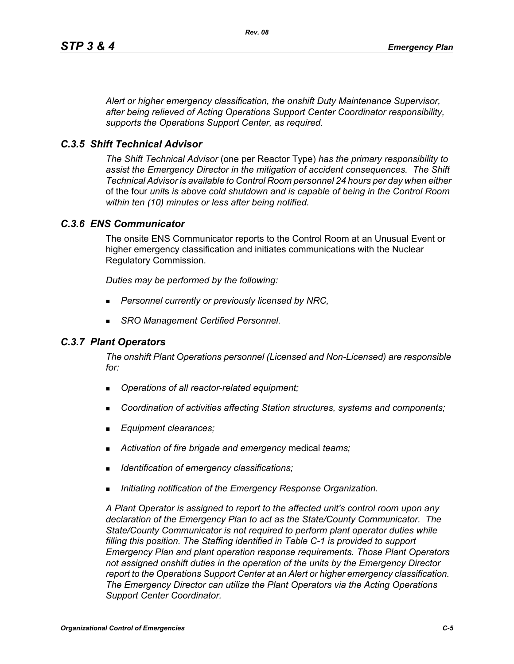*Alert or higher emergency classification, the onshift Duty Maintenance Supervisor, after being relieved of Acting Operations Support Center Coordinator responsibility, supports the Operations Support Center, as required.*

## *C.3.5 Shift Technical Advisor*

*The Shift Technical Advisor* (one per Reactor Type) *has the primary responsibility to assist the Emergency Director in the mitigation of accident consequences. The Shift Technical Advisor is available to Control Room personnel 24 hours per day when either*  of the four *unit*s *is above cold shutdown and is capable of being in the Control Room within ten (10) minutes or less after being notified.*

#### *C.3.6 ENS Communicator*

The onsite ENS Communicator reports to the Control Room at an Unusual Event or higher emergency classification and initiates communications with the Nuclear Regulatory Commission.

*Duties may be performed by the following:*

- *Personnel currently or previously licensed by NRC,*
- *SRO Management Certified Personnel.*

#### *C.3.7 Plant Operators*

*The onshift Plant Operations personnel (Licensed and Non-Licensed) are responsible for:*

- *Operations of all reactor-related equipment;*
- *Coordination of activities affecting Station structures, systems and components;*
- *Equipment clearances;*
- *Activation of fire brigade and emergency* medical *teams;*
- *Identification of emergency classifications;*
- *Initiating notification of the Emergency Response Organization.*

*A Plant Operator is assigned to report to the affected unit's control room upon any declaration of the Emergency Plan to act as the State/County Communicator. The State/County Communicator is not required to perform plant operator duties while filling this position. The Staffing identified in Table C-1 is provided to support Emergency Plan and plant operation response requirements. Those Plant Operators not assigned onshift duties in the operation of the units by the Emergency Director report to the Operations Support Center at an Alert or higher emergency classification. The Emergency Director can utilize the Plant Operators via the Acting Operations Support Center Coordinator.*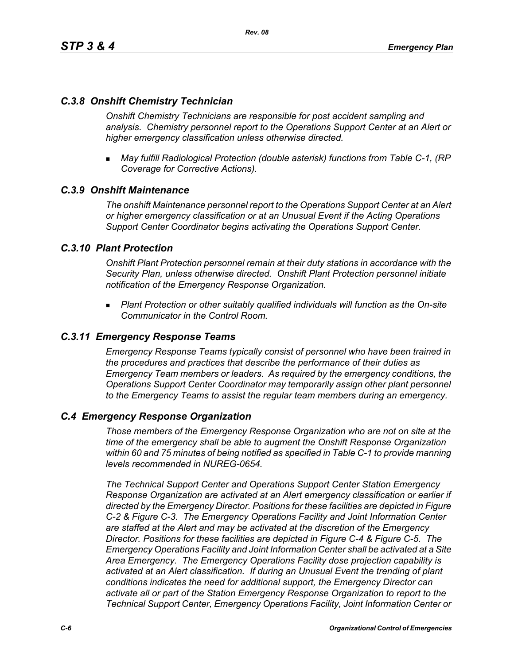## *C.3.8 Onshift Chemistry Technician*

*Onshift Chemistry Technicians are responsible for post accident sampling and analysis. Chemistry personnel report to the Operations Support Center at an Alert or higher emergency classification unless otherwise directed.*

 *May fulfill Radiological Protection (double asterisk) functions from Table C-1, (RP Coverage for Corrective Actions).*

## *C.3.9 Onshift Maintenance*

*The onshift Maintenance personnel report to the Operations Support Center at an Alert or higher emergency classification or at an Unusual Event if the Acting Operations Support Center Coordinator begins activating the Operations Support Center.*

## *C.3.10 Plant Protection*

*Onshift Plant Protection personnel remain at their duty stations in accordance with the Security Plan, unless otherwise directed. Onshift Plant Protection personnel initiate notification of the Emergency Response Organization.*

 *Plant Protection or other suitably qualified individuals will function as the On-site Communicator in the Control Room.*

## *C.3.11 Emergency Response Teams*

*Emergency Response Teams typically consist of personnel who have been trained in the procedures and practices that describe the performance of their duties as Emergency Team members or leaders. As required by the emergency conditions, the Operations Support Center Coordinator may temporarily assign other plant personnel to the Emergency Teams to assist the regular team members during an emergency.*

#### *C.4 Emergency Response Organization*

*Those members of the Emergency Response Organization who are not on site at the time of the emergency shall be able to augment the Onshift Response Organization within 60 and 75 minutes of being notified as specified in Table C-1 to provide manning levels recommended in NUREG-0654.*

*The Technical Support Center and Operations Support Center Station Emergency Response Organization are activated at an Alert emergency classification or earlier if directed by the Emergency Director. Positions for these facilities are depicted in Figure C-2 & Figure C-3. The Emergency Operations Facility and Joint Information Center are staffed at the Alert and may be activated at the discretion of the Emergency Director. Positions for these facilities are depicted in Figure C-4 & Figure C-5. The Emergency Operations Facility and Joint Information Center shall be activated at a Site Area Emergency. The Emergency Operations Facility dose projection capability is activated at an Alert classification. If during an Unusual Event the trending of plant conditions indicates the need for additional support, the Emergency Director can activate all or part of the Station Emergency Response Organization to report to the Technical Support Center, Emergency Operations Facility, Joint Information Center or*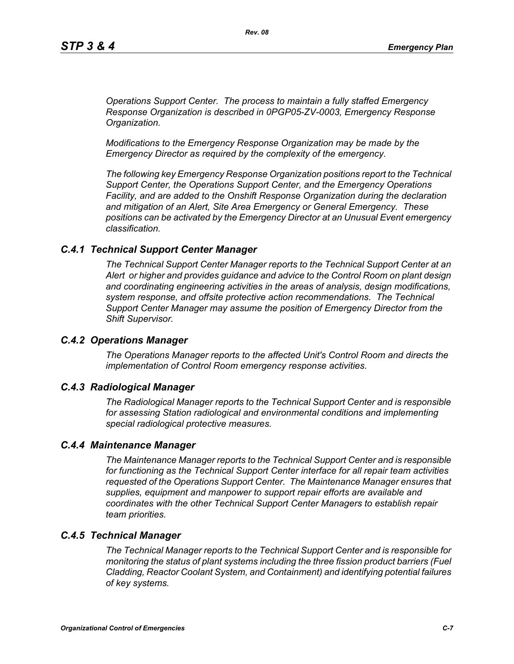*Operations Support Center. The process to maintain a fully staffed Emergency Response Organization is described in 0PGP05-ZV-0003, Emergency Response Organization.*

*Modifications to the Emergency Response Organization may be made by the Emergency Director as required by the complexity of the emergency.*

*The following key Emergency Response Organization positions report to the Technical Support Center, the Operations Support Center, and the Emergency Operations Facility, and are added to the Onshift Response Organization during the declaration and mitigation of an Alert, Site Area Emergency or General Emergency. These positions can be activated by the Emergency Director at an Unusual Event emergency classification.*

#### *C.4.1 Technical Support Center Manager*

*The Technical Support Center Manager reports to the Technical Support Center at an Alert or higher and provides guidance and advice to the Control Room on plant design and coordinating engineering activities in the areas of analysis, design modifications, system response, and offsite protective action recommendations. The Technical Support Center Manager may assume the position of Emergency Director from the Shift Supervisor.*

#### *C.4.2 Operations Manager*

*The Operations Manager reports to the affected Unit's Control Room and directs the implementation of Control Room emergency response activities.*

#### *C.4.3 Radiological Manager*

*The Radiological Manager reports to the Technical Support Center and is responsible for assessing Station radiological and environmental conditions and implementing special radiological protective measures.*

#### *C.4.4 Maintenance Manager*

*The Maintenance Manager reports to the Technical Support Center and is responsible for functioning as the Technical Support Center interface for all repair team activities requested of the Operations Support Center. The Maintenance Manager ensures that supplies, equipment and manpower to support repair efforts are available and coordinates with the other Technical Support Center Managers to establish repair team priorities.* 

## *C.4.5 Technical Manager*

*The Technical Manager reports to the Technical Support Center and is responsible for monitoring the status of plant systems including the three fission product barriers (Fuel Cladding, Reactor Coolant System, and Containment) and identifying potential failures of key systems.*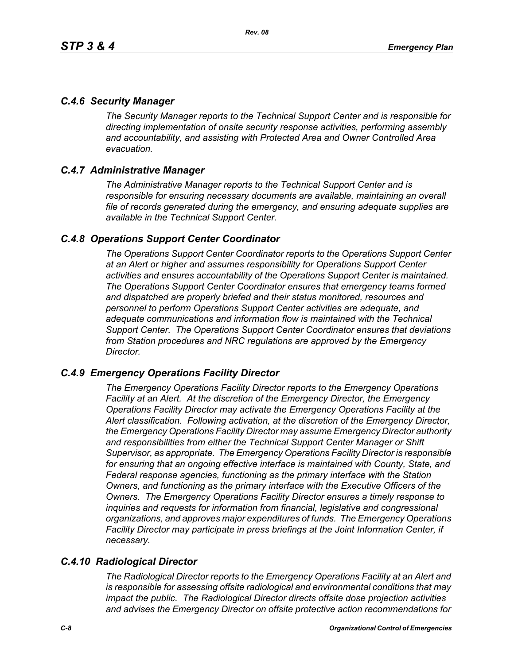## *C.4.6 Security Manager*

*The Security Manager reports to the Technical Support Center and is responsible for directing implementation of onsite security response activities, performing assembly and accountability, and assisting with Protected Area and Owner Controlled Area evacuation.* 

## *C.4.7 Administrative Manager*

*The Administrative Manager reports to the Technical Support Center and is responsible for ensuring necessary documents are available, maintaining an overall file of records generated during the emergency, and ensuring adequate supplies are available in the Technical Support Center.* 

## *C.4.8 Operations Support Center Coordinator*

*The Operations Support Center Coordinator reports to the Operations Support Center at an Alert or higher and assumes responsibility for Operations Support Center activities and ensures accountability of the Operations Support Center is maintained. The Operations Support Center Coordinator ensures that emergency teams formed and dispatched are properly briefed and their status monitored, resources and personnel to perform Operations Support Center activities are adequate, and adequate communications and information flow is maintained with the Technical Support Center. The Operations Support Center Coordinator ensures that deviations from Station procedures and NRC regulations are approved by the Emergency Director.* 

#### *C.4.9 Emergency Operations Facility Director*

*The Emergency Operations Facility Director reports to the Emergency Operations Facility at an Alert. At the discretion of the Emergency Director, the Emergency Operations Facility Director may activate the Emergency Operations Facility at the Alert classification. Following activation, at the discretion of the Emergency Director, the Emergency Operations Facility Director may assume Emergency Director authority and responsibilities from either the Technical Support Center Manager or Shift Supervisor, as appropriate. The Emergency Operations Facility Director is responsible*  for ensuring that an ongoing effective interface is maintained with County, State, and *Federal response agencies, functioning as the primary interface with the Station Owners, and functioning as the primary interface with the Executive Officers of the Owners. The Emergency Operations Facility Director ensures a timely response to inquiries and requests for information from financial, legislative and congressional organizations, and approves major expenditures of funds. The Emergency Operations Facility Director may participate in press briefings at the Joint Information Center, if necessary.* 

## *C.4.10 Radiological Director*

*The Radiological Director reports to the Emergency Operations Facility at an Alert and is responsible for assessing offsite radiological and environmental conditions that may impact the public. The Radiological Director directs offsite dose projection activities and advises the Emergency Director on offsite protective action recommendations for*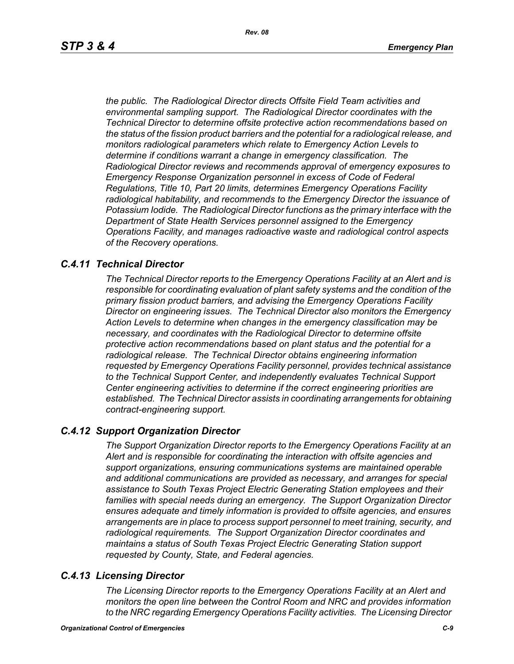*the public. The Radiological Director directs Offsite Field Team activities and environmental sampling support. The Radiological Director coordinates with the Technical Director to determine offsite protective action recommendations based on the status of the fission product barriers and the potential for a radiological release, and monitors radiological parameters which relate to Emergency Action Levels to determine if conditions warrant a change in emergency classification. The Radiological Director reviews and recommends approval of emergency exposures to Emergency Response Organization personnel in excess of Code of Federal Regulations, Title 10, Part 20 limits, determines Emergency Operations Facility radiological habitability, and recommends to the Emergency Director the issuance of Potassium Iodide. The Radiological Director functions as the primary interface with the Department of State Health Services personnel assigned to the Emergency Operations Facility, and manages radioactive waste and radiological control aspects of the Recovery operations.* 

## *C.4.11 Technical Director*

*The Technical Director reports to the Emergency Operations Facility at an Alert and is responsible for coordinating evaluation of plant safety systems and the condition of the primary fission product barriers, and advising the Emergency Operations Facility Director on engineering issues. The Technical Director also monitors the Emergency Action Levels to determine when changes in the emergency classification may be necessary, and coordinates with the Radiological Director to determine offsite protective action recommendations based on plant status and the potential for a radiological release. The Technical Director obtains engineering information requested by Emergency Operations Facility personnel, provides technical assistance to the Technical Support Center, and independently evaluates Technical Support Center engineering activities to determine if the correct engineering priorities are established. The Technical Director assists in coordinating arrangements for obtaining contract-engineering support.* 

#### *C.4.12 Support Organization Director*

*The Support Organization Director reports to the Emergency Operations Facility at an Alert and is responsible for coordinating the interaction with offsite agencies and support organizations, ensuring communications systems are maintained operable and additional communications are provided as necessary, and arranges for special assistance to South Texas Project Electric Generating Station employees and their families with special needs during an emergency. The Support Organization Director ensures adequate and timely information is provided to offsite agencies, and ensures arrangements are in place to process support personnel to meet training, security, and radiological requirements. The Support Organization Director coordinates and maintains a status of South Texas Project Electric Generating Station support requested by County, State, and Federal agencies.*

## *C.4.13 Licensing Director*

*The Licensing Director reports to the Emergency Operations Facility at an Alert and monitors the open line between the Control Room and NRC and provides information to the NRC regarding Emergency Operations Facility activities. The Licensing Director*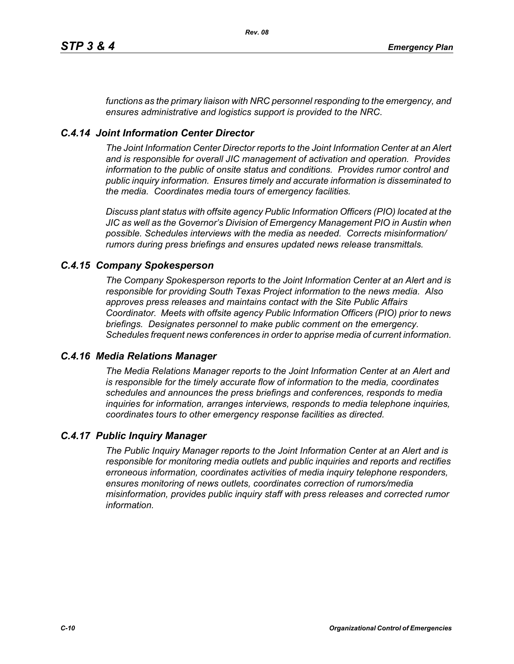*functions as the primary liaison with NRC personnel responding to the emergency, and ensures administrative and logistics support is provided to the NRC.*

# *C.4.14 Joint Information Center Director*

*The Joint Information Center Director reports to the Joint Information Center at an Alert and is responsible for overall JIC management of activation and operation. Provides information to the public of onsite status and conditions. Provides rumor control and public inquiry information. Ensures timely and accurate information is disseminated to the media. Coordinates media tours of emergency facilities.* 

*Discuss plant status with offsite agency Public Information Officers (PIO) located at the JIC as well as the Governor's Division of Emergency Management PIO in Austin when possible. Schedules interviews with the media as needed. Corrects misinformation/ rumors during press briefings and ensures updated news release transmittals.*

## *C.4.15 Company Spokesperson*

*The Company Spokesperson reports to the Joint Information Center at an Alert and is responsible for providing South Texas Project information to the news media. Also approves press releases and maintains contact with the Site Public Affairs Coordinator. Meets with offsite agency Public Information Officers (PIO) prior to news briefings. Designates personnel to make public comment on the emergency. Schedules frequent news conferences in order to apprise media of current information.* 

#### *C.4.16 Media Relations Manager*

*The Media Relations Manager reports to the Joint Information Center at an Alert and is responsible for the timely accurate flow of information to the media, coordinates schedules and announces the press briefings and conferences, responds to media inquiries for information, arranges interviews, responds to media telephone inquiries, coordinates tours to other emergency response facilities as directed.*

## *C.4.17 Public Inquiry Manager*

*The Public Inquiry Manager reports to the Joint Information Center at an Alert and is responsible for monitoring media outlets and public inquiries and reports and rectifies erroneous information, coordinates activities of media inquiry telephone responders, ensures monitoring of news outlets, coordinates correction of rumors/media misinformation, provides public inquiry staff with press releases and corrected rumor information.*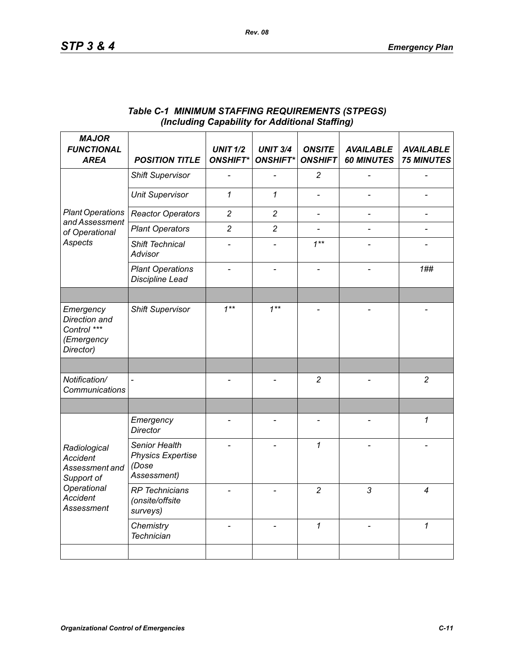| <b>MAJOR</b><br><b>FUNCTIONAL</b><br><b>AREA</b>                                                                       | <b>POSITION TITLE</b>                                             | <b>UNIT 1/2</b><br><b>ONSHIFT*</b> | <b>UNIT 3/4</b><br><b>ONSHIFT*</b> | <b>ONSITE</b><br><b>ONSHIFT</b> | <b>AVAILABLE</b><br><b>60 MINUTES</b> | <b>AVAILABLE</b><br><b>75 MINUTES</b> |
|------------------------------------------------------------------------------------------------------------------------|-------------------------------------------------------------------|------------------------------------|------------------------------------|---------------------------------|---------------------------------------|---------------------------------------|
| <b>Plant Operations</b><br>and Assessment<br>of Operational<br>Aspects                                                 | <b>Shift Supervisor</b>                                           |                                    |                                    | $\overline{c}$                  |                                       |                                       |
|                                                                                                                        | <b>Unit Supervisor</b>                                            | 1                                  | $\mathbf{1}$                       |                                 |                                       |                                       |
|                                                                                                                        | <b>Reactor Operators</b>                                          | $\overline{c}$                     | $\overline{c}$                     | $\qquad \qquad \blacksquare$    | $\overline{\phantom{0}}$              | $\qquad \qquad \blacksquare$          |
|                                                                                                                        | <b>Plant Operators</b>                                            | $\overline{c}$                     | $\overline{c}$                     |                                 |                                       |                                       |
|                                                                                                                        | Shift Technical<br>Advisor                                        |                                    |                                    | $1***$                          |                                       |                                       |
|                                                                                                                        | <b>Plant Operations</b><br><b>Discipline Lead</b>                 |                                    |                                    |                                 |                                       | 1##                                   |
|                                                                                                                        |                                                                   |                                    |                                    |                                 |                                       |                                       |
| Emergency<br>Direction and<br>Control ***<br>(Emergency<br>Director)                                                   | <b>Shift Supervisor</b>                                           | $1***$                             | $1***$                             |                                 |                                       |                                       |
|                                                                                                                        |                                                                   |                                    |                                    |                                 |                                       |                                       |
| Notification/<br>Communications                                                                                        | $\overline{a}$                                                    |                                    |                                    | $\overline{c}$                  |                                       | $\overline{2}$                        |
|                                                                                                                        |                                                                   |                                    |                                    |                                 |                                       |                                       |
| Radiological<br><b>Accident</b><br>Assessment and<br>Support of<br>Operational<br><b>Accident</b><br><b>Assessment</b> | Emergency<br><b>Director</b>                                      |                                    |                                    | $\overline{a}$                  |                                       | 1                                     |
|                                                                                                                        | Senior Health<br><b>Physics Expertise</b><br>(Dose<br>Assessment) |                                    |                                    | $\mathcal I$                    |                                       |                                       |
|                                                                                                                        | <b>RP</b> Technicians<br>(onsite/offsite<br>surveys)              |                                    |                                    | $\overline{c}$                  | 3                                     | 4                                     |
|                                                                                                                        | Chemistry<br><b>Technician</b>                                    |                                    |                                    | $\mathcal I$                    |                                       | $\mathcal I$                          |
|                                                                                                                        |                                                                   |                                    |                                    |                                 |                                       |                                       |

## *Table C-1 MINIMUM STAFFING REQUIREMENTS (STPEGS) (Including Capability for Additional Staffing)*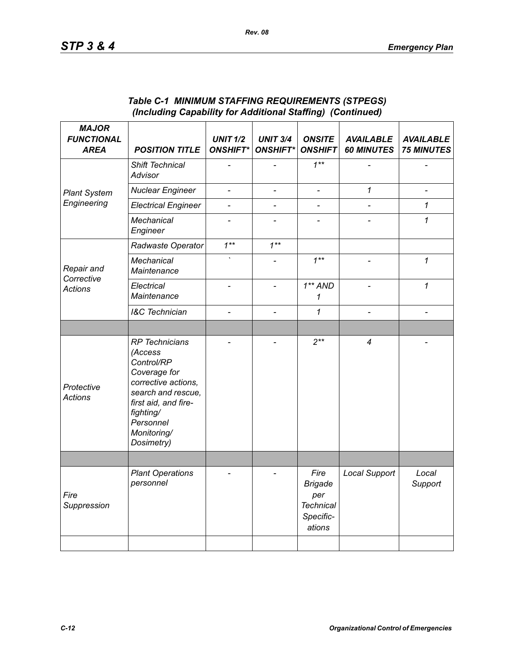| <b>MAJOR</b><br><b>FUNCTIONAL</b><br><b>AREA</b> | <b>POSITION TITLE</b>                                                                                                                                                                      | <b>UNIT 1/2</b><br><b>ONSHIFT*</b> | <b>UNIT 3/4</b><br><b>ONSHIFT*</b> | <b>ONSITE</b><br><b>ONSHIFT</b>                                          | <b>AVAILABLE</b><br><b>60 MINUTES</b> | <b>AVAILABLE</b><br><b>75 MINUTES</b> |
|--------------------------------------------------|--------------------------------------------------------------------------------------------------------------------------------------------------------------------------------------------|------------------------------------|------------------------------------|--------------------------------------------------------------------------|---------------------------------------|---------------------------------------|
| <b>Plant System</b><br>Engineering               | Shift Technical<br>Advisor                                                                                                                                                                 |                                    |                                    | $1***$                                                                   |                                       |                                       |
|                                                  | <b>Nuclear Engineer</b>                                                                                                                                                                    | $\overline{\phantom{a}}$           | $\qquad \qquad \blacksquare$       | $\overline{\phantom{a}}$                                                 | $\mathcal I$                          |                                       |
|                                                  | <b>Electrical Engineer</b>                                                                                                                                                                 | $\overline{a}$                     | $\overline{a}$                     | $\overline{a}$                                                           |                                       | $\mathbf 1$                           |
|                                                  | <b>Mechanical</b><br>Engineer                                                                                                                                                              |                                    |                                    |                                                                          |                                       | 1                                     |
| Repair and<br>Corrective<br><b>Actions</b>       | Radwaste Operator                                                                                                                                                                          | $1***$                             | $1***$                             |                                                                          |                                       |                                       |
|                                                  | Mechanical<br>Maintenance                                                                                                                                                                  |                                    |                                    | $1***$                                                                   | $\qquad \qquad \blacksquare$          | $\mathbf 1$                           |
|                                                  | Electrical<br>Maintenance                                                                                                                                                                  | $\overline{a}$                     | $\overline{a}$                     | $1**AND$<br>1                                                            | $\overline{a}$                        | $\mathbf 1$                           |
|                                                  | <b>I&amp;C</b> Technician                                                                                                                                                                  | $\overline{a}$                     |                                    | $\mathbf 1$                                                              |                                       |                                       |
|                                                  |                                                                                                                                                                                            |                                    |                                    |                                                                          |                                       |                                       |
| Protective<br><b>Actions</b>                     | <b>RP</b> Technicians<br>(Access<br>Control/RP<br>Coverage for<br>corrective actions,<br>search and rescue,<br>first aid, and fire-<br>fighting/<br>Personnel<br>Monitoring/<br>Dosimetry) |                                    |                                    | $2**$                                                                    | 4                                     |                                       |
|                                                  |                                                                                                                                                                                            |                                    |                                    |                                                                          |                                       |                                       |
| Fire<br>Suppression                              | <b>Plant Operations</b><br>personnel                                                                                                                                                       |                                    |                                    | Fire<br><b>Brigade</b><br>per<br><b>Technical</b><br>Specific-<br>ations | <b>Local Support</b>                  | Local<br>Support                      |
|                                                  |                                                                                                                                                                                            |                                    |                                    |                                                                          |                                       |                                       |

#### *Table C-1 MINIMUM STAFFING REQUIREMENTS (STPEGS) (Including Capability for Additional Staffing) (Continued)*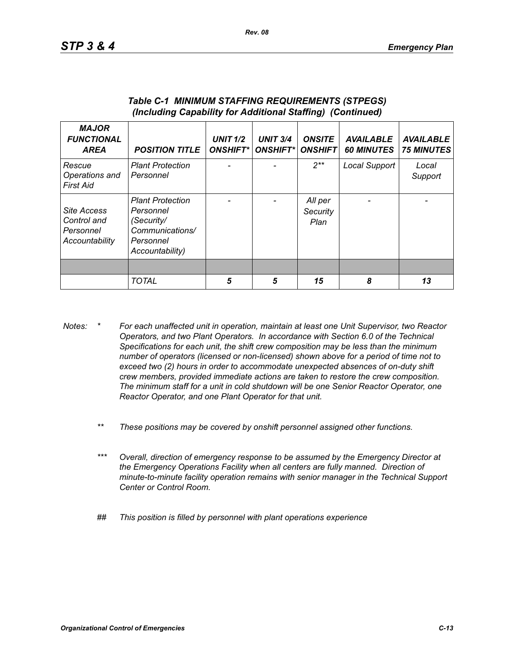| <b>MAJOR</b><br><b>FUNCTIONAL</b><br><b>AREA</b>                 | <b>POSITION TITLE</b>                                                                                 | <b>UNIT 1/2</b><br><b>ONSHIFT*</b> | <b>UNIT 3/4</b><br><b>ONSHIFT*I</b> | <b>ONSITE</b><br><b>ONSHIFT</b> | <b>AVAILABLE</b><br><b>60 MINUTES</b> | <b>AVAILABLE</b><br><b>75 MINUTES</b> |
|------------------------------------------------------------------|-------------------------------------------------------------------------------------------------------|------------------------------------|-------------------------------------|---------------------------------|---------------------------------------|---------------------------------------|
| Rescue<br>Operations and<br>First Aid                            | <b>Plant Protection</b><br>Personnel                                                                  |                                    |                                     | $2**$                           | Local Support                         | Local<br>Support                      |
| <b>Site Access</b><br>Control and<br>Personnel<br>Accountability | <b>Plant Protection</b><br>Personnel<br>(Security/<br>Communications/<br>Personnel<br>Accountability) |                                    |                                     | All per<br>Security<br>Plan     |                                       |                                       |
|                                                                  |                                                                                                       |                                    |                                     |                                 |                                       |                                       |
|                                                                  | <b>TOTAL</b>                                                                                          | 5                                  | 5                                   | 15                              | 8                                     | 13                                    |

#### *Table C-1 MINIMUM STAFFING REQUIREMENTS (STPEGS) (Including Capability for Additional Staffing) (Continued)*

- *Notes: \* For each unaffected unit in operation, maintain at least one Unit Supervisor, two Reactor Operators, and two Plant Operators. In accordance with Section 6.0 of the Technical Specifications for each unit, the shift crew composition may be less than the minimum number of operators (licensed or non-licensed) shown above for a period of time not to exceed two (2) hours in order to accommodate unexpected absences of on-duty shift crew members, provided immediate actions are taken to restore the crew composition. The minimum staff for a unit in cold shutdown will be one Senior Reactor Operator, one Reactor Operator, and one Plant Operator for that unit.*
	- *\*\* These positions may be covered by onshift personnel assigned other functions.*
	- *\*\*\* Overall, direction of emergency response to be assumed by the Emergency Director at the Emergency Operations Facility when all centers are fully manned. Direction of minute-to-minute facility operation remains with senior manager in the Technical Support Center or Control Room.*
	- *## This position is filled by personnel with plant operations experience*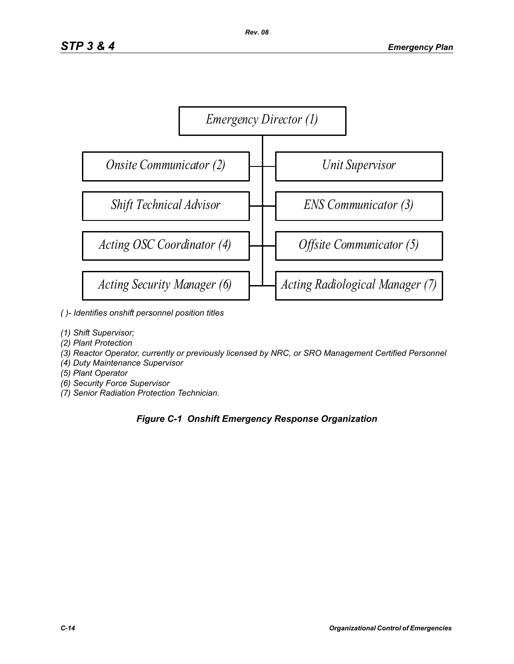

- *( )- Identifies onshift personnel position titles*
- *(1) Shift Supervisor;*
- *(2) Plant Protection*
- *(3) Reactor Operator, currently or previously licensed by NRC, or SRO Management Certified Personnel*
- *(4) Duty Maintenance Supervisor*
- *(5) Plant Operator*
- *(6) Security Force Supervisor*
- *(7) Senior Radiation Protection Technician.*

## *Figure C-1 Onshift Emergency Response Organization*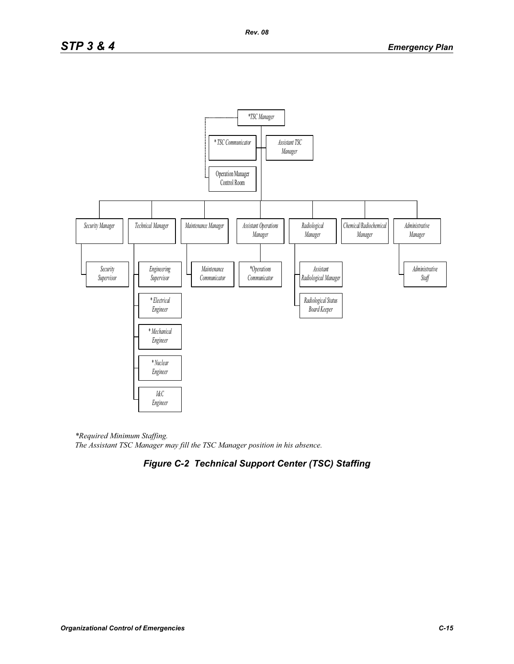

*\*Required Minimum Staffing. The Assistant TSC Manager may fill the TSC Manager position in his absence.* 

# *Figure C-2 Technical Support Center (TSC) Staffing*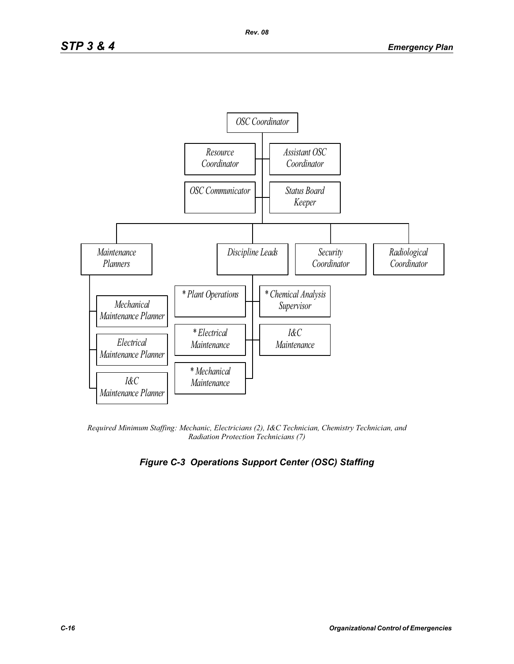

*Required Minimum Staffing: Mechanic, Electricians (2), I&C Technician, Chemistry Technician, and Radiation Protection Technicians (7)* 

# *Figure C-3 Operations Support Center (OSC) Staffing*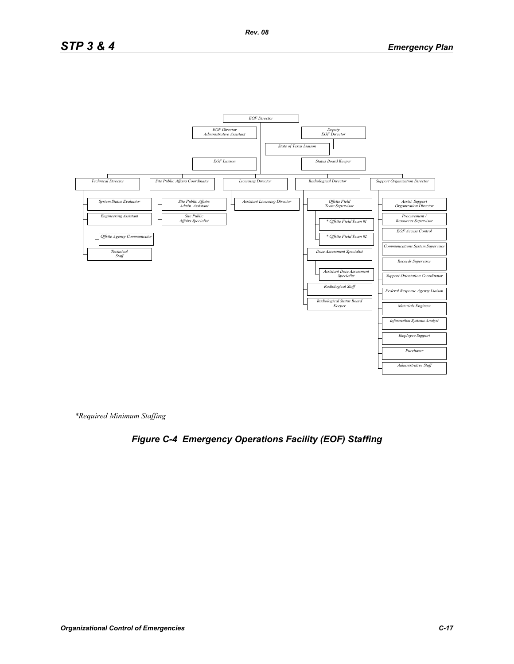# *STP 3 & 4 Emergency Plan*



*\*Required Minimum Staffing*

# *Figure C-4 Emergency Operations Facility (EOF) Staffing*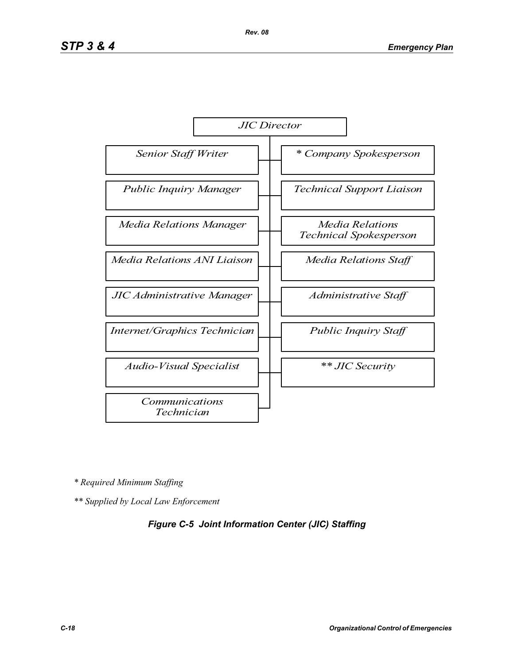

*\* Required Minimum Staffing*

*\*\* Supplied by Local Law Enforcement* 

#### *Figure C-5 Joint Information Center (JIC) Staffing*